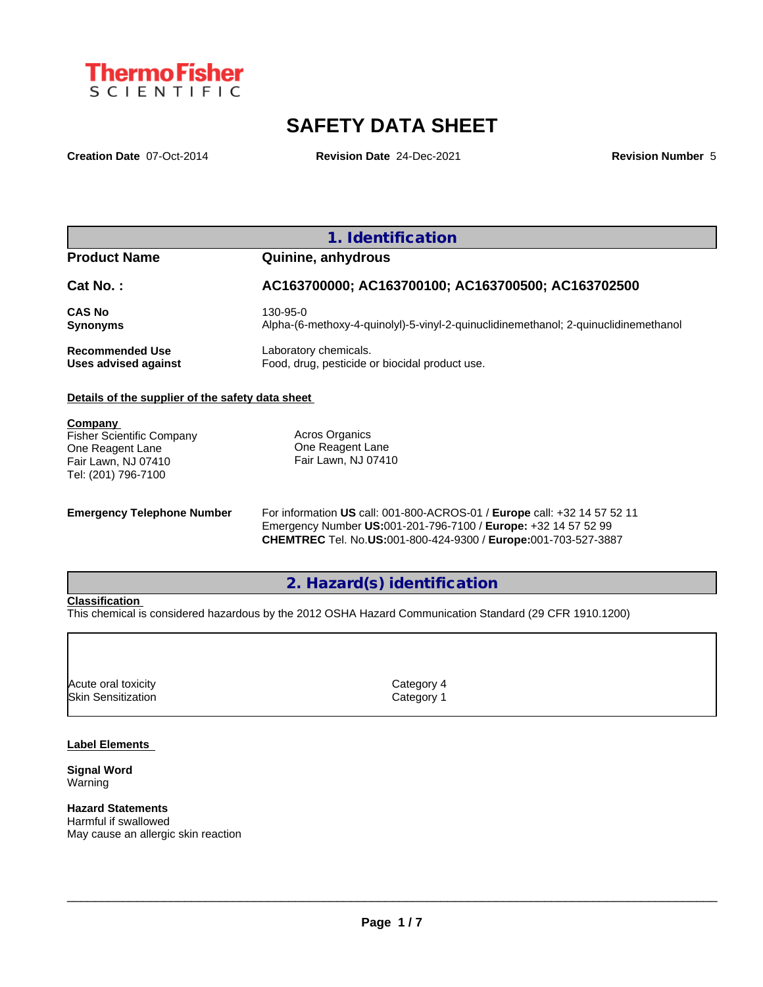

# **SAFETY DATA SHEET**

**Creation Date** 07-Oct-2014 **Revision Date** 24-Dec-2021 **Revision Number** 5

## **1. Identification**

## **Product Name Quinine, anhydrous**

| Cat No.:               | AC163700000; AC163700100; AC163700500; AC163702500                                  |
|------------------------|-------------------------------------------------------------------------------------|
| <b>CAS No</b>          | 130-95-0                                                                            |
| <b>Synonyms</b>        | Alpha-(6-methoxy-4-quinolyl)-5-vinyl-2-quinuclidinemethanol; 2-quinuclidinemethanol |
| <b>Recommended Use</b> | Laboratory chemicals.                                                               |
| Uses advised against   | Food, drug, pesticide or biocidal product use.                                      |

## **Details of the supplier of the safety data sheet**

**Company** 

Fisher Scientific Company One Reagent Lane Fair Lawn, NJ 07410 Tel: (201) 796-7100

Acros Organics One Reagent Lane Fair Lawn, NJ 07410

**Emergency Telephone Number** For information **US** call: 001-800-ACROS-01 / **Europe** call: +32 14 57 52 11 Emergency Number **US:**001-201-796-7100 / **Europe:** +32 14 57 52 99 **CHEMTREC** Tel. No.**US:**001-800-424-9300 / **Europe:**001-703-527-3887

## **2. Hazard(s) identification**

## **Classification**

This chemical is considered hazardous by the 2012 OSHA Hazard Communication Standard (29 CFR 1910.1200)

Acute oral toxicity and the contract of the Category 4 Skin Sensitization **Category 1 Category 1** 

#### **Label Elements**

**Signal Word** Warning

## **Hazard Statements**

Harmful if swallowed May cause an allergic skin reaction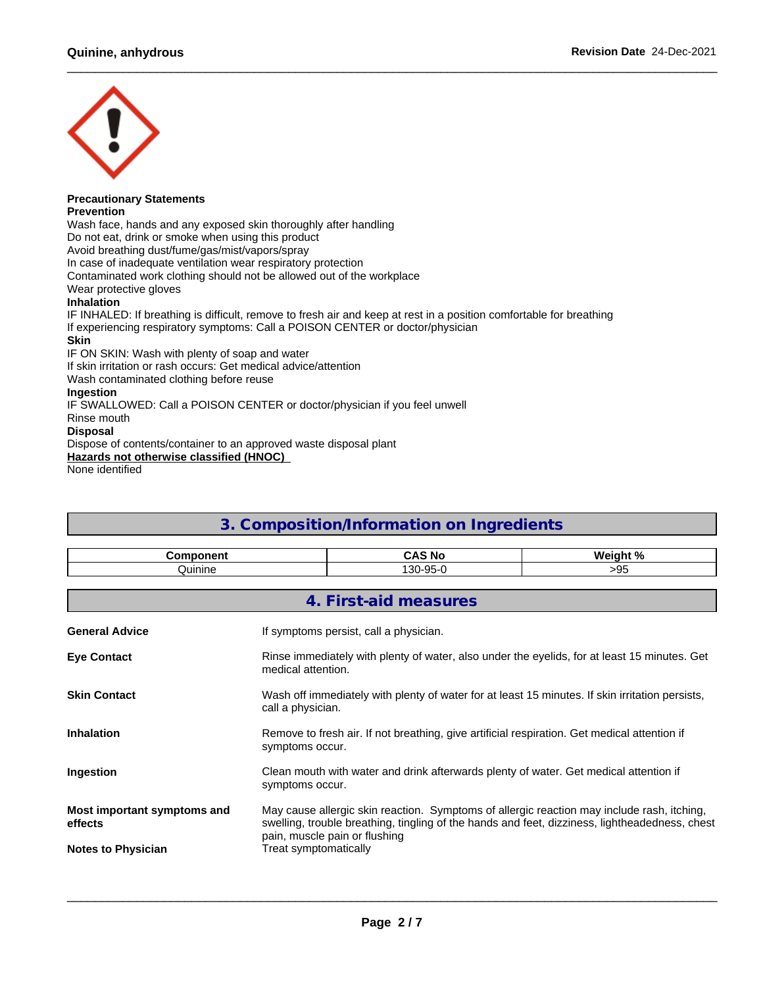

#### **Precautionary Statements Prevention**

Wash face, hands and any exposed skin thoroughly after handling Do not eat, drink or smoke when using this product Avoid breathing dust/fume/gas/mist/vapors/spray In case of inadequate ventilation wear respiratory protection Contaminated work clothing should not be allowed out of the workplace Wear protective gloves **Inhalation** IF INHALED: If breathing is difficult, remove to fresh air and keep at rest in a position comfortable for breathing If experiencing respiratory symptoms: Call a POISON CENTER or doctor/physician **Skin**

IF ON SKIN: Wash with plenty of soap and water

If skin irritation or rash occurs: Get medical advice/attention

Wash contaminated clothing before reuse

## **Ingestion**

IF SWALLOWED: Call a POISON CENTER or doctor/physician if you feel unwell Rinse mouth

**Disposal**

Dispose of contents/container to an approved waste disposal plant

**Hazards not otherwise classified (HNOC)**

None identified

## **3. Composition/Information on Ingredients**

| ---------- | $\epsilon$<br>^^`<br>. No           | <b>Wainh</b><br>1. N / |
|------------|-------------------------------------|------------------------|
| Juinine    | ∩פי<br>$\Omega$<br>. .<br>ิงง<br>∪ש | ገር<br>.                |

|                                        | 4. First-aid measures                                                                                                                                                                                                         |
|----------------------------------------|-------------------------------------------------------------------------------------------------------------------------------------------------------------------------------------------------------------------------------|
| <b>General Advice</b>                  | If symptoms persist, call a physician.                                                                                                                                                                                        |
| <b>Eye Contact</b>                     | Rinse immediately with plenty of water, also under the eyelids, for at least 15 minutes. Get<br>medical attention.                                                                                                            |
| <b>Skin Contact</b>                    | Wash off immediately with plenty of water for at least 15 minutes. If skin irritation persists,<br>call a physician.                                                                                                          |
| <b>Inhalation</b>                      | Remove to fresh air. If not breathing, give artificial respiration. Get medical attention if<br>symptoms occur.                                                                                                               |
| Ingestion                              | Clean mouth with water and drink afterwards plenty of water. Get medical attention if<br>symptoms occur.                                                                                                                      |
| Most important symptoms and<br>effects | May cause allergic skin reaction. Symptoms of allergic reaction may include rash, itching,<br>swelling, trouble breathing, tingling of the hands and feet, dizziness, lightheadedness, chest<br>pain, muscle pain or flushing |
| <b>Notes to Physician</b>              | Treat symptomatically                                                                                                                                                                                                         |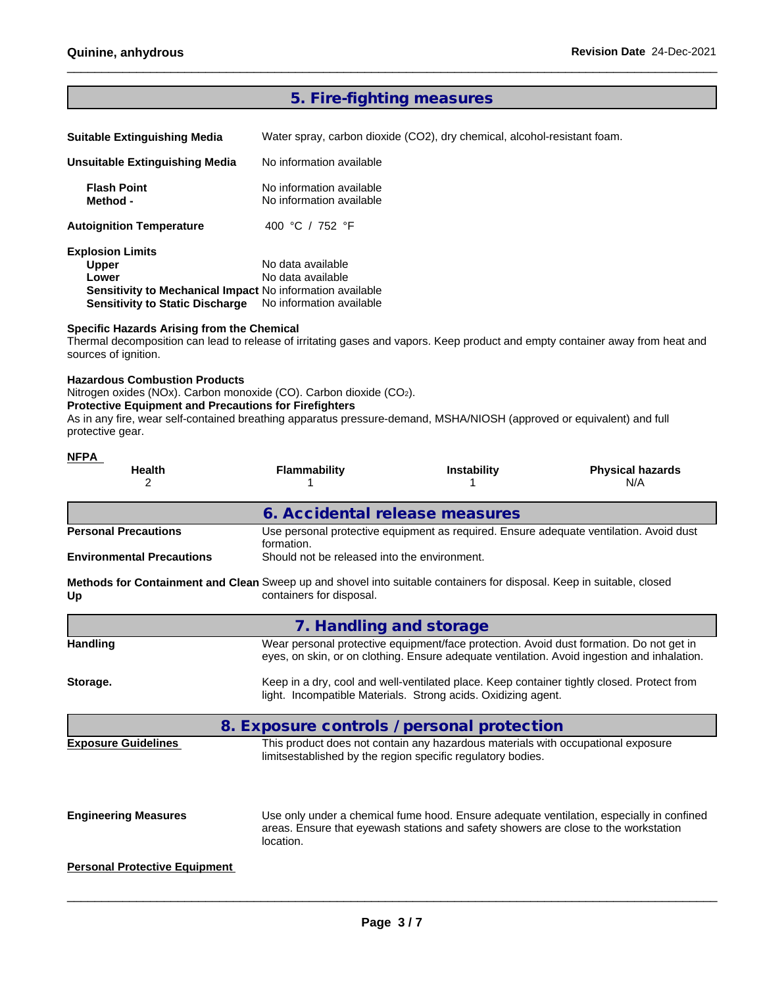## **5. Fire-fighting measures**

**Suitable Extinguishing Media** Water spray, carbon dioxide (CO2), dry chemical, alcohol-resistant foam.

| Unsuitable Extinguishing Media                            | No information available                             |  |
|-----------------------------------------------------------|------------------------------------------------------|--|
| <b>Flash Point</b><br>Method -                            | No information available<br>No information available |  |
| <b>Autoignition Temperature</b>                           | 400 °C / 752 °F                                      |  |
| <b>Explosion Limits</b>                                   |                                                      |  |
| <b>Upper</b>                                              | No data available                                    |  |
| Lower                                                     | No data available                                    |  |
| Sensitivity to Mechanical Impact No information available |                                                      |  |
| <b>Sensitivity to Static Discharge</b>                    | No information available                             |  |

## **Specific Hazards Arising from the Chemical**

Thermal decomposition can lead to release of irritating gases and vapors. Keep product and empty container away from heat and sources of ignition.

### **Hazardous Combustion Products**

Nitrogen oxides (NOx). Carbon monoxide (CO). Carbon dioxide (CO2).

## **Protective Equipment and Precautions for Firefighters**

As in any fire, wear self-contained breathing apparatus pressure-demand, MSHA/NIOSH (approved or equivalent) and full protective gear.

| <b>NFPA</b><br><b>Health</b><br>2                                                                                           | <b>Flammability</b>                          | <b>Instability</b>                                                                                                                                          | <b>Physical hazards</b><br>N/A                                                                                                                                                         |  |  |  |  |
|-----------------------------------------------------------------------------------------------------------------------------|----------------------------------------------|-------------------------------------------------------------------------------------------------------------------------------------------------------------|----------------------------------------------------------------------------------------------------------------------------------------------------------------------------------------|--|--|--|--|
|                                                                                                                             |                                              | 6. Accidental release measures                                                                                                                              |                                                                                                                                                                                        |  |  |  |  |
| <b>Personal Precautions</b>                                                                                                 | formation.                                   | Use personal protective equipment as required. Ensure adequate ventilation. Avoid dust                                                                      |                                                                                                                                                                                        |  |  |  |  |
| <b>Environmental Precautions</b>                                                                                            | Should not be released into the environment. |                                                                                                                                                             |                                                                                                                                                                                        |  |  |  |  |
| Methods for Containment and Clean Sweep up and shovel into suitable containers for disposal. Keep in suitable, closed<br>Up | containers for disposal.                     |                                                                                                                                                             |                                                                                                                                                                                        |  |  |  |  |
|                                                                                                                             |                                              | 7. Handling and storage                                                                                                                                     |                                                                                                                                                                                        |  |  |  |  |
| <b>Handling</b>                                                                                                             |                                              |                                                                                                                                                             | Wear personal protective equipment/face protection. Avoid dust formation. Do not get in<br>eyes, on skin, or on clothing. Ensure adequate ventilation. Avoid ingestion and inhalation. |  |  |  |  |
| Storage.                                                                                                                    |                                              | Keep in a dry, cool and well-ventilated place. Keep container tightly closed. Protect from<br>light. Incompatible Materials. Strong acids. Oxidizing agent. |                                                                                                                                                                                        |  |  |  |  |
|                                                                                                                             |                                              | 8. Exposure controls / personal protection                                                                                                                  |                                                                                                                                                                                        |  |  |  |  |
| <b>Exposure Guidelines</b>                                                                                                  |                                              | This product does not contain any hazardous materials with occupational exposure<br>limitsestablished by the region specific regulatory bodies.             |                                                                                                                                                                                        |  |  |  |  |
| <b>Engineering Measures</b>                                                                                                 | location.                                    | areas. Ensure that eyewash stations and safety showers are close to the workstation                                                                         | Use only under a chemical fume hood. Ensure adequate ventilation, especially in confined                                                                                               |  |  |  |  |
| <b>Personal Protective Equipment</b>                                                                                        |                                              |                                                                                                                                                             |                                                                                                                                                                                        |  |  |  |  |
|                                                                                                                             |                                              |                                                                                                                                                             |                                                                                                                                                                                        |  |  |  |  |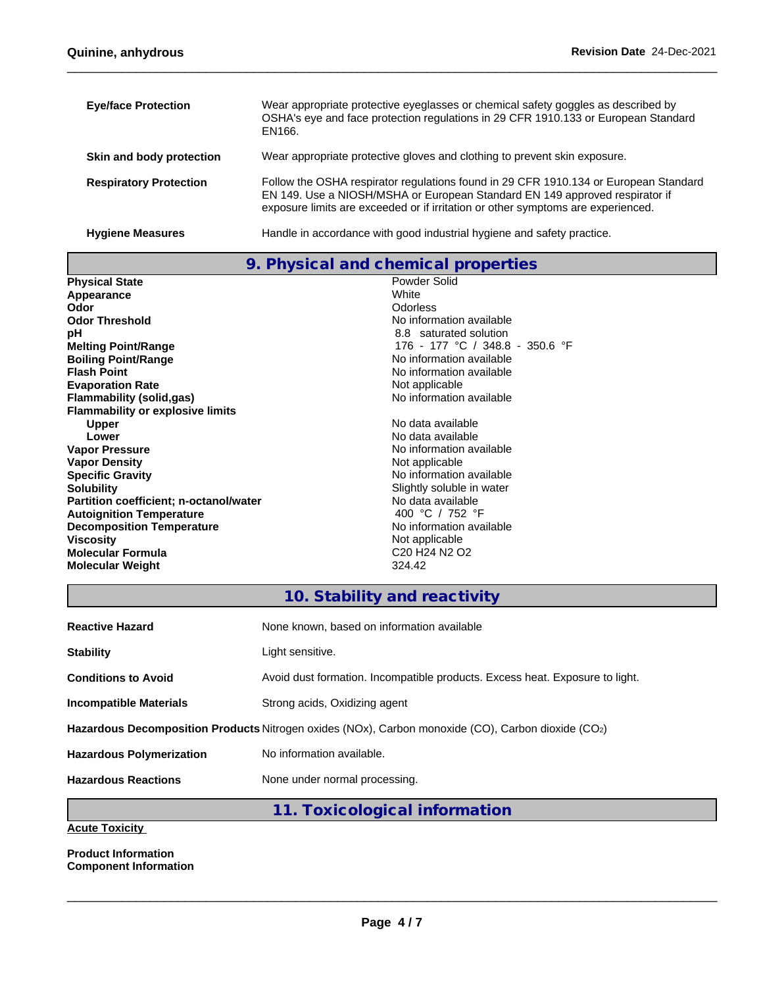| <b>Eye/face Protection</b>    | Wear appropriate protective eyeglasses or chemical safety goggles as described by<br>OSHA's eye and face protection regulations in 29 CFR 1910.133 or European Standard<br>EN166.                                                                       |
|-------------------------------|---------------------------------------------------------------------------------------------------------------------------------------------------------------------------------------------------------------------------------------------------------|
| Skin and body protection      | Wear appropriate protective gloves and clothing to prevent skin exposure.                                                                                                                                                                               |
| <b>Respiratory Protection</b> | Follow the OSHA respirator regulations found in 29 CFR 1910.134 or European Standard<br>EN 149. Use a NIOSH/MSHA or European Standard EN 149 approved respirator if<br>exposure limits are exceeded or if irritation or other symptoms are experienced. |
| <b>Hygiene Measures</b>       | Handle in accordance with good industrial hygiene and safety practice.                                                                                                                                                                                  |

**9. Physical and chemical properties**

| <b>Physical State</b>                   | Powder Solid                                                  |
|-----------------------------------------|---------------------------------------------------------------|
| Appearance                              | White                                                         |
| Odor                                    | Odorless                                                      |
| <b>Odor Threshold</b>                   | No information available                                      |
| рH                                      | 8.8 saturated solution                                        |
| <b>Melting Point/Range</b>              | 176 - 177 °C / 348.8 - 350.6 °F                               |
| <b>Boiling Point/Range</b>              | No information available                                      |
| <b>Flash Point</b>                      | No information available                                      |
| <b>Evaporation Rate</b>                 | Not applicable                                                |
| Flammability (solid,gas)                | No information available                                      |
| <b>Flammability or explosive limits</b> |                                                               |
| <b>Upper</b>                            | No data available                                             |
| Lower                                   | No data available                                             |
| <b>Vapor Pressure</b>                   | No information available                                      |
| <b>Vapor Density</b>                    | Not applicable                                                |
| <b>Specific Gravity</b>                 | No information available                                      |
| <b>Solubility</b>                       | Slightly soluble in water                                     |
| Partition coefficient; n-octanol/water  | No data available                                             |
| <b>Autoignition Temperature</b>         | 400 °C / 752 °F                                               |
| <b>Decomposition Temperature</b>        | No information available                                      |
| <b>Viscosity</b>                        | Not applicable                                                |
| Molecular Formula                       | C <sub>20</sub> H <sub>24</sub> N <sub>2</sub> O <sub>2</sub> |
| <b>Molecular Weight</b>                 | 324.42                                                        |
|                                         |                                                               |

## **10. Stability and reactivity**

| <b>Reactive Hazard</b>                                                                             | None known, based on information available                                   |  |  |  |
|----------------------------------------------------------------------------------------------------|------------------------------------------------------------------------------|--|--|--|
| <b>Stability</b>                                                                                   | Light sensitive.                                                             |  |  |  |
| <b>Conditions to Avoid</b>                                                                         | Avoid dust formation. Incompatible products. Excess heat. Exposure to light. |  |  |  |
| Incompatible Materials                                                                             | Strong acids, Oxidizing agent                                                |  |  |  |
| Hazardous Decomposition Products Nitrogen oxides (NOx), Carbon monoxide (CO), Carbon dioxide (CO2) |                                                                              |  |  |  |
| <b>Hazardous Polymerization</b>                                                                    | No information available.                                                    |  |  |  |
| <b>Hazardous Reactions</b>                                                                         | None under normal processing.                                                |  |  |  |
|                                                                                                    |                                                                              |  |  |  |

**11. Toxicological information**

**Acute Toxicity**

**Product Information Component Information**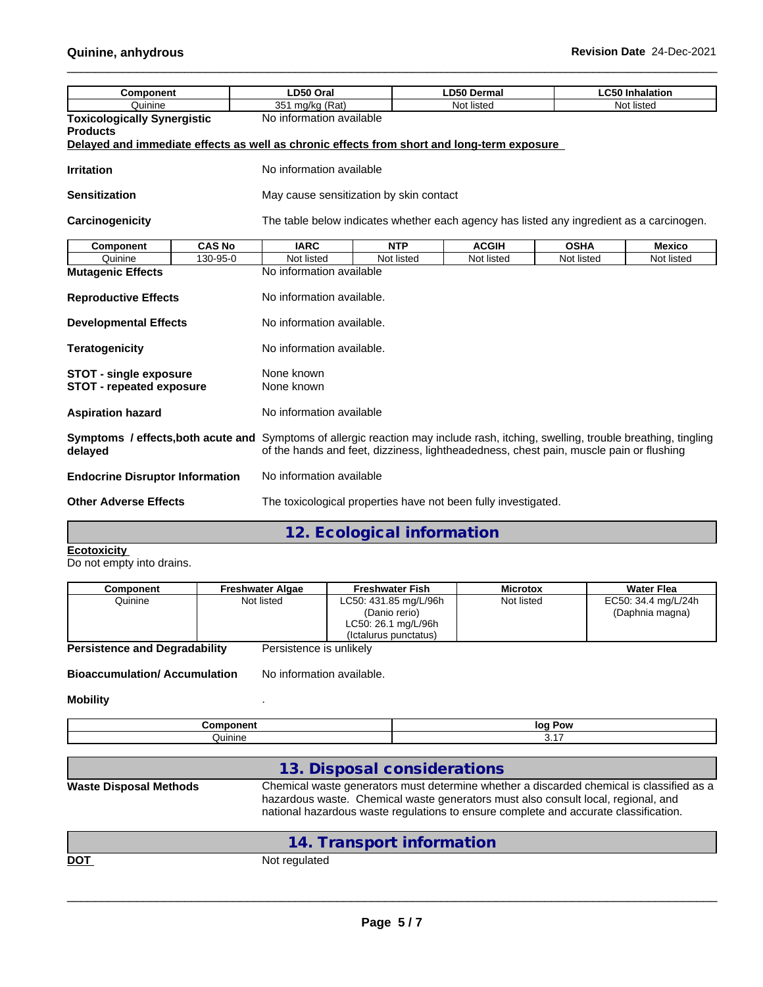| <b>Component</b>                                                                           |               | LD50 Oral                                                                                                                                                                                |  |            | <b>LD50 Dermal</b> |             | <b>LC50 Inhalation</b> |               |
|--------------------------------------------------------------------------------------------|---------------|------------------------------------------------------------------------------------------------------------------------------------------------------------------------------------------|--|------------|--------------------|-------------|------------------------|---------------|
| Quinine                                                                                    |               | 351 mg/kg (Rat)                                                                                                                                                                          |  | Not listed |                    | Not listed  |                        |               |
| <b>Toxicologically Synergistic</b><br><b>Products</b>                                      |               | No information available                                                                                                                                                                 |  |            |                    |             |                        |               |
| Delayed and immediate effects as well as chronic effects from short and long-term exposure |               |                                                                                                                                                                                          |  |            |                    |             |                        |               |
| <b>Irritation</b>                                                                          |               | No information available                                                                                                                                                                 |  |            |                    |             |                        |               |
| <b>Sensitization</b>                                                                       |               | May cause sensitization by skin contact                                                                                                                                                  |  |            |                    |             |                        |               |
| Carcinogenicity                                                                            |               | The table below indicates whether each agency has listed any ingredient as a carcinogen.                                                                                                 |  |            |                    |             |                        |               |
| Component                                                                                  | <b>CAS No</b> | <b>IARC</b>                                                                                                                                                                              |  | <b>NTP</b> | <b>ACGIH</b>       | <b>OSHA</b> |                        | <b>Mexico</b> |
| Quinine                                                                                    | 130-95-0      | Not listed                                                                                                                                                                               |  | Not listed | Not listed         | Not listed  |                        | Not listed    |
| <b>Mutagenic Effects</b>                                                                   |               | No information available                                                                                                                                                                 |  |            |                    |             |                        |               |
| <b>Reproductive Effects</b>                                                                |               | No information available.                                                                                                                                                                |  |            |                    |             |                        |               |
| <b>Developmental Effects</b>                                                               |               | No information available.                                                                                                                                                                |  |            |                    |             |                        |               |
| <b>Teratogenicity</b>                                                                      |               | No information available.                                                                                                                                                                |  |            |                    |             |                        |               |
| <b>STOT - single exposure</b><br><b>STOT - repeated exposure</b>                           |               | None known<br>None known                                                                                                                                                                 |  |            |                    |             |                        |               |
| <b>Aspiration hazard</b>                                                                   |               | No information available                                                                                                                                                                 |  |            |                    |             |                        |               |
| Symptoms / effects, both acute and<br>delayed                                              |               | Symptoms of allergic reaction may include rash, itching, swelling, trouble breathing, tingling<br>of the hands and feet, dizziness, lightheadedness, chest pain, muscle pain or flushing |  |            |                    |             |                        |               |
| <b>Endocrine Disruptor Information</b>                                                     |               | No information available                                                                                                                                                                 |  |            |                    |             |                        |               |
| <b>Other Adverse Effects</b>                                                               |               | The toxicological properties have not been fully investigated.                                                                                                                           |  |            |                    |             |                        |               |
|                                                                                            |               |                                                                                                                                                                                          |  |            |                    |             |                        |               |

**12. Ecological information**

| Ecotoxicity |  |  |  |
|-------------|--|--|--|
|             |  |  |  |

Do not empty into drains.

| Component                            | <b>Freshwater Algae</b> | <b>Freshwater Fish</b> | <b>Microtox</b> | <b>Water Flea</b>   |
|--------------------------------------|-------------------------|------------------------|-----------------|---------------------|
| Quinine                              | Not listed              | LC50: 431.85 mg/L/96h  | Not listed      | EC50: 34.4 mg/L/24h |
|                                      |                         | (Danio rerio)          |                 | (Daphnia magna)     |
|                                      |                         | LC50: 26.1 mg/L/96h    |                 |                     |
|                                      |                         | (Ictalurus punctatus)  |                 |                     |
| <b>Persistence and Degradability</b> | Persistence is unlikely |                        |                 |                     |

**Bioaccumulation/ Accumulation** No information available.

## **Mobility** .

|         | <b>loc</b><br>אס |
|---------|------------------|
| Juinine | $\cdots$         |

|                               | 13. Disposal considerations                                                                                                                                                                                                                                           |
|-------------------------------|-----------------------------------------------------------------------------------------------------------------------------------------------------------------------------------------------------------------------------------------------------------------------|
| <b>Waste Disposal Methods</b> | Chemical waste generators must determine whether a discarded chemical is classified as a<br>hazardous waste. Chemical waste generators must also consult local, regional, and<br>national hazardous waste regulations to ensure complete and accurate classification. |
|                               | 14. Transport information                                                                                                                                                                                                                                             |

DOT Not regulated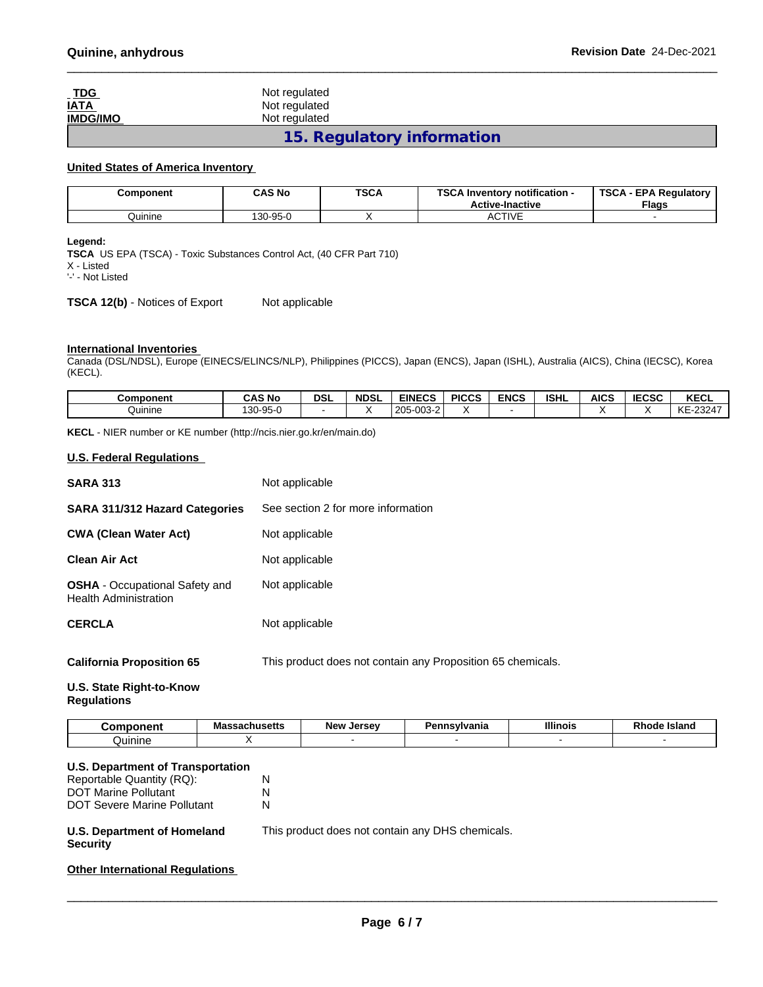| <u>_ TDG</u><br><u>IATA</u> | Not regulated<br>Not regulated |  |
|-----------------------------|--------------------------------|--|
| <b>IMDG/IMO</b>             | Not regulated                  |  |
|                             | 15. Regulatory information     |  |

## **United States of America Inventory**

| Component | <b>CAS No</b> | <b>TSCA</b> | TOOA L<br>Inventory notification -<br>av r<br><b>Active-Inactive</b> | <b>TSCA</b><br><b>EPA Requiatory</b><br><b>Flags</b> |
|-----------|---------------|-------------|----------------------------------------------------------------------|------------------------------------------------------|
| Quinine   | 130-95-0      |             | $-2T$<br>TIVE<br>AC.                                                 |                                                      |

#### **Legend:**

**TSCA** US EPA (TSCA) - Toxic Substances Control Act, (40 CFR Part 710) X - Listed '-' - Not Listed

**TSCA 12(b)** - Notices of Export Not applicable

## **International Inventories**

Canada (DSL/NDSL), Europe (EINECS/ELINCS/NLP), Philippines (PICCS), Japan (ENCS), Japan (ISHL), Australia (AICS), China (IECSC), Korea (KECL).

| Component | <b>CAS No</b> | DSI | <b>NDSL</b> | <b>EINECS</b>                                         | <b>PICCS</b> | <b>ENCS</b> | <b>ISHL</b> | <b>AICS</b> | 500 <sub>2</sub><br>ะบอบ | <b>KECL</b>                |
|-----------|---------------|-----|-------------|-------------------------------------------------------|--------------|-------------|-------------|-------------|--------------------------|----------------------------|
| Quinine   | )-95-0<br>130 |     |             | 0.00<br>$\sim$<br>$\sim$<br>$\sim$<br>ZU.<br>υυυ<br>- |              |             |             |             |                          | 1/T<br>-23247<br><b>KE</b> |

**KECL** - NIER number or KE number (http://ncis.nier.go.kr/en/main.do)

### **U.S. Federal Regulations**

| <b>SARA 313</b>                                                | Not applicable                                              |
|----------------------------------------------------------------|-------------------------------------------------------------|
| SARA 311/312 Hazard Categories                                 | See section 2 for more information                          |
| <b>CWA (Clean Water Act)</b>                                   | Not applicable                                              |
| Clean Air Act                                                  | Not applicable                                              |
| <b>OSHA</b> - Occupational Safety and<br>Health Administration | Not applicable                                              |
| <b>CERCLA</b>                                                  | Not applicable                                              |
| <b>California Proposition 65</b>                               | This product does not contain any Proposition 65 chemicals. |

### **U.S. State Right-to-Know Regulations**

| $ -$              | - -<br>ма<br>aunuacio | <b>New</b><br>I | ania | <b>Illinois</b> | . .<br>island |
|-------------------|-----------------------|-----------------|------|-----------------|---------------|
| հարո<br>סוווו<br> |                       |                 |      |                 |               |

## **U.S. Department of Transportation**

| U.S. Department of Homeland<br><b>Security</b> | This product does not contain any DHS chemicals. |
|------------------------------------------------|--------------------------------------------------|
| <b>DOT Severe Marine Pollutant</b>             |                                                  |
| <b>DOT Marine Pollutant</b>                    |                                                  |
| Reportable Quantity (RQ):                      | N                                                |

## **Other International Regulations**